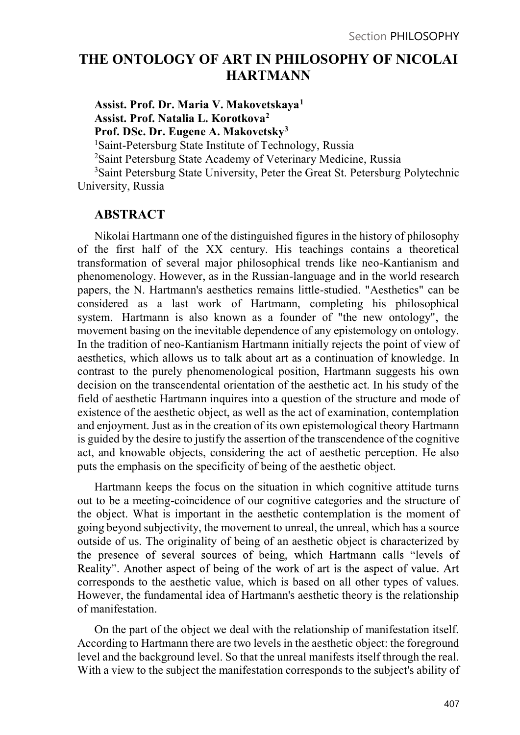# THE ONTOLOGY OF ART IN PHILOSOPHY OF NICOLAI HARTMANN

Assist. Prof. Dr. Maria V. Makovetskaya1 Assist. Prof. Natalia L. Korotkova2 Prof. DSc. Dr. Eugene A. Makovetsky3 1Saint-Petersburg State Institute of Technology, Russia 2Saint Petersburg State Academy of Veterinary Medicine, Russia

3Saint Petersburg State University, Peter the Great St. Petersburg Polytechnic University, Russia

## ABSTRACT

Nikolai Hartmann one of the distinguished figures in the history of philosophy of the first half of the XX century. His teachings contains a theoretical transformation of several major philosophical trends like neo-Kantianism and phenomenology. However, as in the Russian-language and in the world research papers, the N. Hartmann's aesthetics remains little-studied. "Aesthetics" can be considered as a last work of Hartmann, completing his philosophical system. Hartmann is also known as a founder of "the new ontology", the movement basing on the inevitable dependence of any epistemology on ontology. In the tradition of neo-Kantianism Hartmann initially rejects the point of view of aesthetics, which allows us to talk about art as a continuation of knowledge. In contrast to the purely phenomenological position, Hartmann suggests his own decision on the transcendental orientation of the aesthetic act. In his study of the field of aesthetic Hartmann inquires into a question of the structure and mode of existence of the aesthetic object, as well as the act of examination, contemplation and enjoyment. Just as in the creation of its own epistemological theory Hartmann is guided by the desire to justify the assertion of the transcendence of the cognitive act, and knowable objects, considering the act of aesthetic perception. He also puts the emphasis on the specificity of being of the aesthetic object.

Hartmann keeps the focus on the situation in which cognitive attitude turns out to be a meeting-coincidence of our cognitive categories and the structure of the object. What is important in the aesthetic contemplation is the moment of going beyond subjectivity, the movement to unreal, the unreal, which has a source outside of us. The originality of being of an aesthetic object is characterized by the presence of several sources of being, which Hartmann calls "levels of Reality". Another aspect of being of the work of art is the aspect of value. Art corresponds to the aesthetic value, which is based on all other types of values. However, the fundamental idea of Hartmann's aesthetic theory is the relationship of manifestation.

On the part of the object we deal with the relationship of manifestation itself. According to Hartmann there are two levels in the aesthetic object: the foreground level and the background level. So that the unreal manifests itself through the real. With a view to the subject the manifestation corresponds to the subject's ability of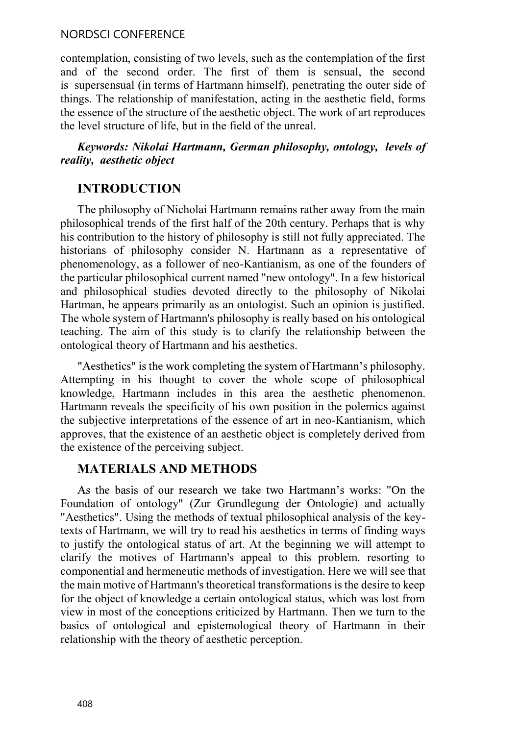contemplation, consisting of two levels, such as the contemplation of the first and of the second order. The first of them is sensual, the second is supersensual (in terms of Hartmann himself), penetrating the outer side of things. The relationship of manifestation, acting in the aesthetic field, forms the essence of the structure of the aesthetic object. The work of art reproduces the level structure of life, but in the field of the unreal.

### Keywords: Nikolai Hartmann, German philosophy, ontology, levels of reality, aesthetic object

## INTRODUCTION

The philosophy of Nicholai Hartmann remains rather away from the main philosophical trends of the first half of the 20th century. Perhaps that is why his contribution to the history of philosophy is still not fully appreciated. The historians of philosophy consider N. Hartmann as a representative of phenomenology, as a follower of neo-Kantianism, as one of the founders of the particular philosophical current named "new ontology". In a few historical and philosophical studies devoted directly to the philosophy of Nikolai Hartman, he appears primarily as an ontologist. Such an opinion is justified. The whole system of Hartmann's philosophy is really based on his ontological teaching. The aim of this study is to clarify the relationship between the ontological theory of Hartmann and his aesthetics.

"Aesthetics" is the work completing the system of Hartmann's philosophy. Attempting in his thought to cover the whole scope of philosophical knowledge, Hartmann includes in this area the aesthetic phenomenon. Hartmann reveals the specificity of his own position in the polemics against the subjective interpretations of the essence of art in neo-Kantianism, which approves, that the existence of an aesthetic object is completely derived from the existence of the perceiving subject.

### MATERIALS AND METHODS

As the basis of our research we take two Hartmann's works: "On the Foundation of ontology" (Zur Grundlegung der Ontologie) and actually "Aesthetics". Using the methods of textual philosophical analysis of the keytexts of Hartmann, we will try to read his aesthetics in terms of finding ways to justify the ontological status of art. At the beginning we will attempt to clarify the motives of Hartmann's appeal to this problem. resorting to componential and hermeneutic methods of investigation. Here we will see that the main motive of Hartmann's theoretical transformations is the desire to keep for the object of knowledge a certain ontological status, which was lost from view in most of the conceptions criticized by Hartmann. Then we turn to the basics of ontological and epistemological theory of Hartmann in their relationship with the theory of aesthetic perception.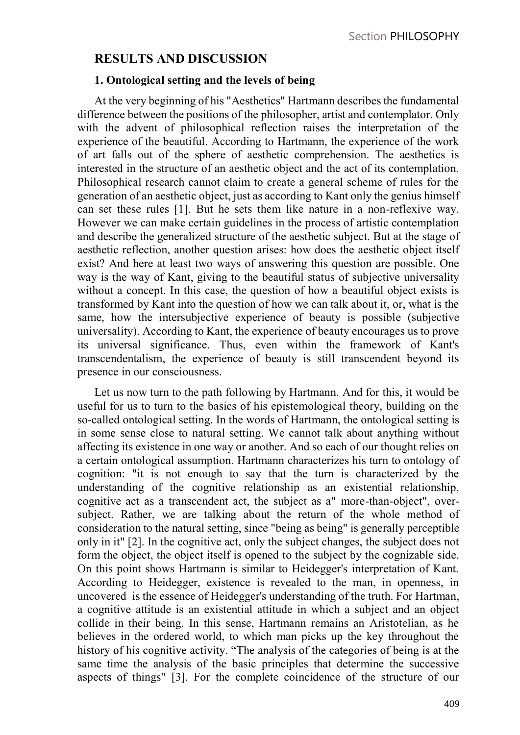## RESULTS AND DISCUSSION

### 1. Ontological setting and the levels of being

At the very beginning of his "Aesthetics" Hartmann describes the fundamental difference between the positions of the philosopher, artist and contemplator. Only with the advent of philosophical reflection raises the interpretation of the experience of the beautiful. According to Hartmann, the experience of the work of art falls out of the sphere of aesthetic comprehension. The aesthetics is interested in the structure of an aesthetic object and the act of its contemplation. Philosophical research cannot claim to create a general scheme of rules for the generation of an aesthetic object, just as according to Kant only the genius himself can set these rules [1]. But he sets them like nature in a non-reflexive way. However we can make certain guidelines in the process of artistic contemplation and describe the generalized structure of the aesthetic subject. But at the stage of aesthetic reflection, another question arises: how does the aesthetic object itself exist? And here at least two ways of answering this question are possible. One way is the way of Kant, giving to the beautiful status of subjective universality without a concept. In this case, the question of how a beautiful object exists is transformed by Kant into the question of how we can talk about it, or, what is the same, how the intersubjective experience of beauty is possible (subjective universality). According to Kant, the experience of beauty encourages us to prove its universal significance. Thus, even within the framework of Kant's transcendentalism, the experience of beauty is still transcendent beyond its presence in our consciousness.

Let us now turn to the path following by Hartmann. And for this, it would be useful for us to turn to the basics of his epistemological theory, building on the so-called ontological setting. In the words of Hartmann, the ontological setting is in some sense close to natural setting. We cannot talk about anything without affecting its existence in one way or another. And so each of our thought relies on a certain ontological assumption. Hartmann characterizes his turn to ontology of cognition: "it is not enough to say that the turn is characterized by the understanding of the cognitive relationship as an existential relationship, cognitive act as a transcendent act, the subject as a" more-than-object", oversubject. Rather, we are talking about the return of the whole method of consideration to the natural setting, since "being as being" is generally perceptible only in it" [2]. In the cognitive act, only the subject changes, the subject does not form the object, the object itself is opened to the subject by the cognizable side. On this point shows Hartmann is similar to Heidegger's interpretation of Kant. According to Heidegger, existence is revealed to the man, in openness, in uncovered is the essence of Heidegger's understanding of the truth. For Hartman, a cognitive attitude is an existential attitude in which a subject and an object collide in their being. In this sense, Hartmann remains an Aristotelian, as he believes in the ordered world, to which man picks up the key throughout the history of his cognitive activity. "The analysis of the categories of being is at the same time the analysis of the basic principles that determine the successive aspects of things" [3]. For the complete coincidence of the structure of our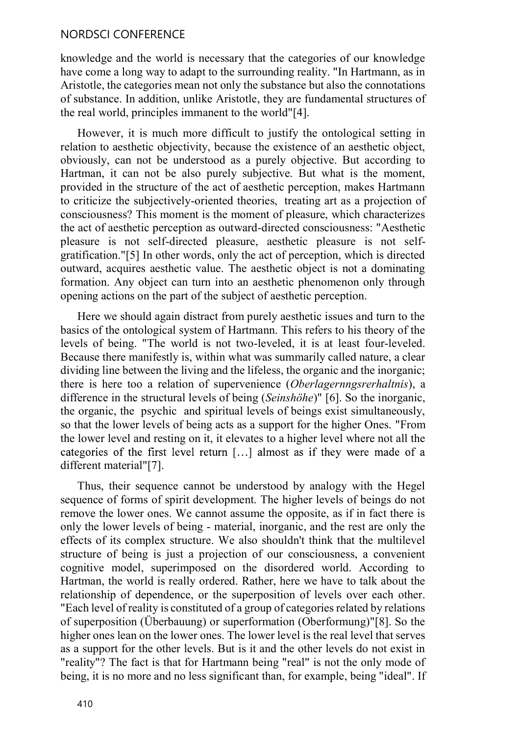knowledge and the world is necessary that the categories of our knowledge have come a long way to adapt to the surrounding reality. "In Hartmann, as in Aristotle, the categories mean not only the substance but also the connotations of substance. In addition, unlike Aristotle, they are fundamental structures of the real world, principles immanent to the world"[4].

However, it is much more difficult to justify the ontological setting in relation to aesthetic objectivity, because the existence of an aesthetic object, obviously, can not be understood as a purely objective. But according to Hartman, it can not be also purely subjective. But what is the moment, provided in the structure of the act of aesthetic perception, makes Hartmann to criticize the subjectively-oriented theories, treating art as a projection of consciousness? This moment is the moment of pleasure, which characterizes the act of aesthetic perception as outward-directed consciousness: "Aesthetic pleasure is not self-directed pleasure, aesthetic pleasure is not selfgratification."[5] In other words, only the act of perception, which is directed outward, acquires aesthetic value. The aesthetic object is not a dominating formation. Any object can turn into an aesthetic phenomenon only through opening actions on the part of the subject of aesthetic perception.

Here we should again distract from purely aesthetic issues and turn to the basics of the ontological system of Hartmann. This refers to his theory of the levels of being. "The world is not two-leveled, it is at least four-leveled. Because there manifestly is, within what was summarily called nature, a clear dividing line between the living and the lifeless, the organic and the inorganic; there is here too a relation of supervenience (Oberlagernngsrerhaltnis), a difference in the structural levels of being (Seinshöhe)" [6]. So the inorganic, the organic, the psychic and spiritual levels of beings exist simultaneously, so that the lower levels of being acts as a support for the higher Ones. "From the lower level and resting on it, it elevates to a higher level where not all the categories of the first level return [...] almost as if they were made of a different material"[7].

Thus, their sequence cannot be understood by analogy with the Hegel sequence of forms of spirit development. The higher levels of beings do not remove the lower ones. We cannot assume the opposite, as if in fact there is only the lower levels of being - material, inorganic, and the rest are only the effects of its complex structure. We also shouldn't think that the multilevel structure of being is just a projection of our consciousness, a convenient cognitive model, superimposed on the disordered world. According to Hartman, the world is really ordered. Rather, here we have to talk about the relationship of dependence, or the superposition of levels over each other. "Each level of reality is constituted of a group of categories related by relations of superposition (Überbauung) or superformation (Oberformung)"[8]. So the higher ones lean on the lower ones. The lower level is the real level that serves as a support for the other levels. But is it and the other levels do not exist in "reality"? The fact is that for Hartmann being "real" is not the only mode of being, it is no more and no less significant than, for example, being "ideal". If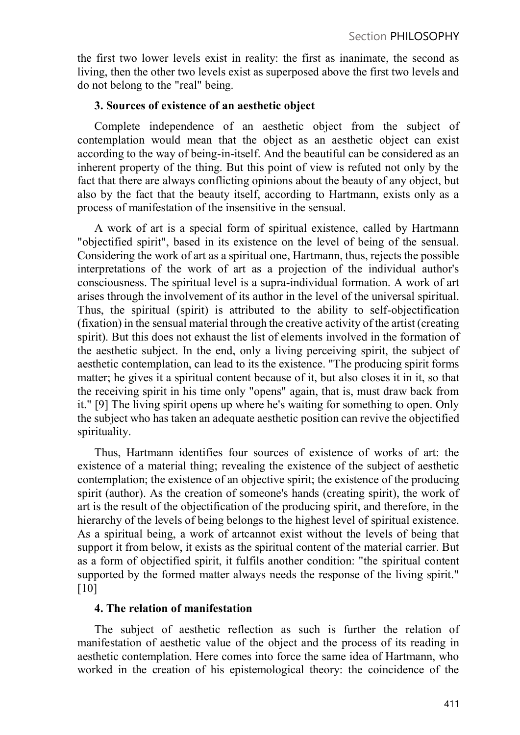the first two lower levels exist in reality: the first as inanimate, the second as living, then the other two levels exist as superposed above the first two levels and do not belong to the "real" being.

#### 3. Sources of existence of an aesthetic object

Complete independence of an aesthetic object from the subject of contemplation would mean that the object as an aesthetic object can exist according to the way of being-in-itself. And the beautiful can be considered as an inherent property of the thing. But this point of view is refuted not only by the fact that there are always conflicting opinions about the beauty of any object, but also by the fact that the beauty itself, according to Hartmann, exists only as a process of manifestation of the insensitive in the sensual.

A work of art is a special form of spiritual existence, called by Hartmann "objectified spirit", based in its existence on the level of being of the sensual. Considering the work of art as a spiritual one, Hartmann, thus, rejects the possible interpretations of the work of art as a projection of the individual author's consciousness. The spiritual level is a supra-individual formation. A work of art arises through the involvement of its author in the level of the universal spiritual. Thus, the spiritual (spirit) is attributed to the ability to self-objectification (fixation) in the sensual material through the creative activity of the artist (creating spirit). But this does not exhaust the list of elements involved in the formation of the aesthetic subject. In the end, only a living perceiving spirit, the subject of aesthetic contemplation, can lead to its the existence. "The producing spirit forms matter; he gives it a spiritual content because of it, but also closes it in it, so that the receiving spirit in his time only "opens" again, that is, must draw back from it." [9] The living spirit opens up where he's waiting for something to open. Only the subject who has taken an adequate aesthetic position can revive the objectified spirituality.

Thus, Hartmann identifies four sources of existence of works of art: the existence of a material thing; revealing the existence of the subject of aesthetic contemplation; the existence of an objective spirit; the existence of the producing spirit (author). As the creation of someone's hands (creating spirit), the work of art is the result of the objectification of the producing spirit, and therefore, in the hierarchy of the levels of being belongs to the highest level of spiritual existence. As a spiritual being, a work of artcannot exist without the levels of being that support it from below, it exists as the spiritual content of the material carrier. But as a form of objectified spirit, it fulfils another condition: "the spiritual content supported by the formed matter always needs the response of the living spirit." [10]

#### 4. The relation of manifestation

The subject of aesthetic reflection as such is further the relation of manifestation of aesthetic value of the object and the process of its reading in aesthetic contemplation. Here comes into force the same idea of Hartmann, who worked in the creation of his epistemological theory: the coincidence of the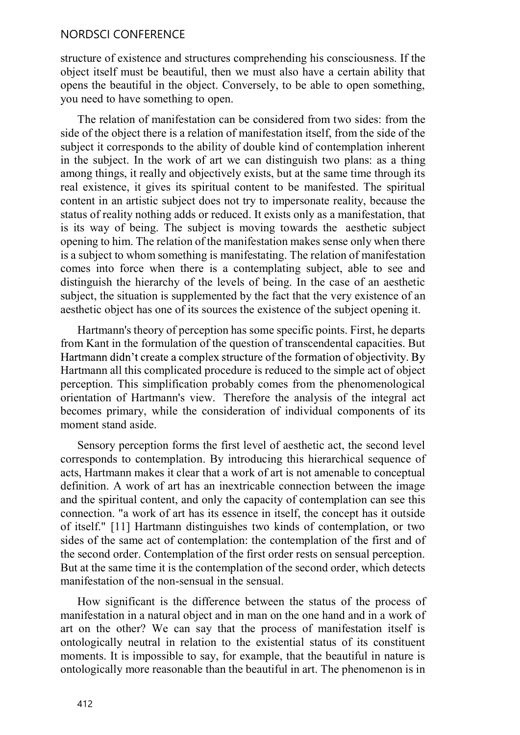structure of existence and structures comprehending his consciousness. If the object itself must be beautiful, then we must also have a certain ability that opens the beautiful in the object. Conversely, to be able to open something, you need to have something to open.

The relation of manifestation can be considered from two sides: from the side of the object there is a relation of manifestation itself, from the side of the subject it corresponds to the ability of double kind of contemplation inherent in the subject. In the work of art we can distinguish two plans: as a thing among things, it really and objectively exists, but at the same time through its real existence, it gives its spiritual content to be manifested. The spiritual content in an artistic subject does not try to impersonate reality, because the status of reality nothing adds or reduced. It exists only as a manifestation, that is its way of being. The subject is moving towards the aesthetic subject opening to him. The relation of the manifestation makes sense only when there is a subject to whom something is manifestating. The relation of manifestation comes into force when there is a contemplating subject, able to see and distinguish the hierarchy of the levels of being. In the case of an aesthetic subject, the situation is supplemented by the fact that the very existence of an aesthetic object has one of its sources the existence of the subject opening it.

Hartmann's theory of perception has some specific points. First, he departs from Kant in the formulation of the question of transcendental capacities. But Hartmann didn't create a complex structure of the formation of objectivity. By Hartmann all this complicated procedure is reduced to the simple act of object perception. This simplification probably comes from the phenomenological orientation of Hartmann's view. Therefore the analysis of the integral act becomes primary, while the consideration of individual components of its moment stand aside.

Sensory perception forms the first level of aesthetic act, the second level corresponds to contemplation. By introducing this hierarchical sequence of acts, Hartmann makes it clear that a work of art is not amenable to conceptual definition. A work of art has an inextricable connection between the image and the spiritual content, and only the capacity of contemplation can see this connection. "a work of art has its essence in itself, the concept has it outside of itself." [11] Hartmann distinguishes two kinds of contemplation, or two sides of the same act of contemplation: the contemplation of the first and of the second order. Contemplation of the first order rests on sensual perception. But at the same time it is the contemplation of the second order, which detects manifestation of the non-sensual in the sensual.

How significant is the difference between the status of the process of manifestation in a natural object and in man on the one hand and in a work of art on the other? We can say that the process of manifestation itself is ontologically neutral in relation to the existential status of its constituent moments. It is impossible to say, for example, that the beautiful in nature is ontologically more reasonable than the beautiful in art. The phenomenon is in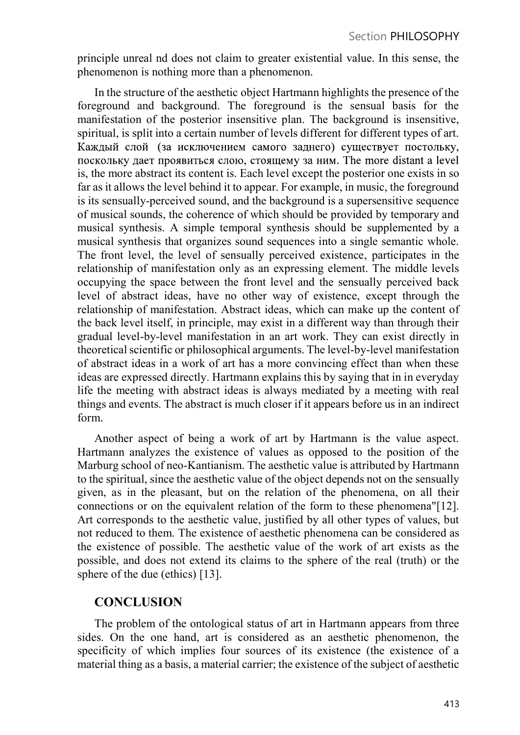principle unreal nd does not claim to greater existential value. In this sense, the phenomenon is nothing more than a phenomenon.

In the structure of the aesthetic object Hartmann highlights the presence of the foreground and background. The foreground is the sensual basis for the manifestation of the posterior insensitive plan. The background is insensitive, spiritual, is split into a certain number of levels different for different types of art. Каждый слой (за исключением самого заднего) существует постольку, поскольку дает проявиться слою, стоящему за ним. The more distant a level is, the more abstract its content is. Each level except the posterior one exists in so far as it allows the level behind it to appear. For example, in music, the foreground is its sensually-perceived sound, and the background is a supersensitive sequence of musical sounds, the coherence of which should be provided by temporary and musical synthesis. A simple temporal synthesis should be supplemented by a musical synthesis that organizes sound sequences into a single semantic whole. The front level, the level of sensually perceived existence, participates in the relationship of manifestation only as an expressing element. The middle levels occupying the space between the front level and the sensually perceived back level of abstract ideas, have no other way of existence, except through the relationship of manifestation. Abstract ideas, which can make up the content of the back level itself, in principle, may exist in a different way than through their gradual level-by-level manifestation in an art work. They can exist directly in theoretical scientific or philosophical arguments. The level-by-level manifestation of abstract ideas in a work of art has a more convincing effect than when these ideas are expressed directly. Hartmann explains this by saying that in in everyday life the meeting with abstract ideas is always mediated by a meeting with real things and events. The abstract is much closer if it appears before us in an indirect form.

Another aspect of being a work of art by Hartmann is the value aspect. Hartmann analyzes the existence of values as opposed to the position of the Marburg school of neo-Kantianism. The aesthetic value is attributed by Hartmann to the spiritual, since the aesthetic value of the object depends not on the sensually given, as in the pleasant, but on the relation of the phenomena, on all their connections or on the equivalent relation of the form to these phenomena"[12]. Art corresponds to the aesthetic value, justified by all other types of values, but not reduced to them. The existence of aesthetic phenomena can be considered as the existence of possible. The aesthetic value of the work of art exists as the possible, and does not extend its claims to the sphere of the real (truth) or the sphere of the due (ethics) [13].

## **CONCLUSION**

The problem of the ontological status of art in Hartmann appears from three sides. On the one hand, art is considered as an aesthetic phenomenon, the specificity of which implies four sources of its existence (the existence of a material thing as a basis, a material carrier; the existence of the subject of aesthetic